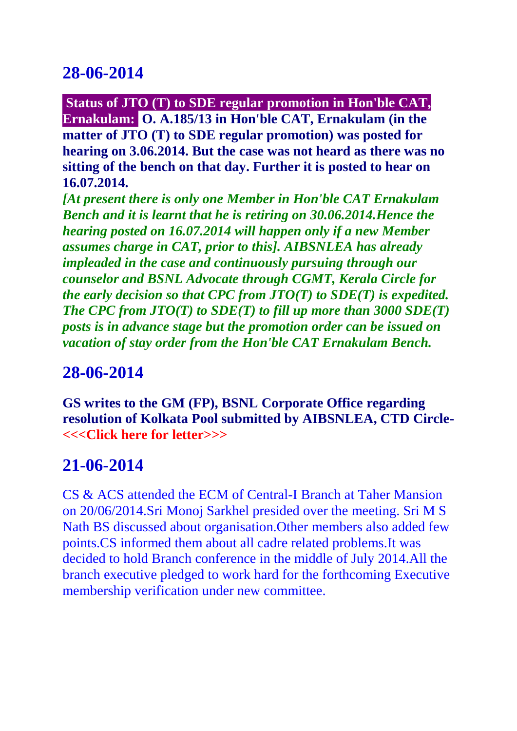**Status of JTO (T) to SDE regular promotion in Hon'ble CAT, Ernakulam: O. A.185/13 in Hon'ble CAT, Ernakulam (in the matter of JTO (T) to SDE regular promotion) was posted for hearing on 3.06.2014. But the case was not heard as there was no sitting of the bench on that day. Further it is posted to hear on 16.07.2014.**

*[At present there is only one Member in Hon'ble CAT Ernakulam Bench and it is learnt that he is retiring on 30.06.2014.Hence the hearing posted on 16.07.2014 will happen only if a new Member assumes charge in CAT, prior to this]. AIBSNLEA has already impleaded in the case and continuously pursuing through our counselor and BSNL Advocate through CGMT, Kerala Circle for the early decision so that CPC from JTO(T) to SDE(T) is expedited. The CPC from JTO(T) to SDE(T) to fill up more than 3000 SDE(T) posts is in advance stage but the promotion order can be issued on vacation of stay order from the Hon'ble CAT Ernakulam Bench.*

## **28-06-2014**

**GS writes to the GM (FP), BSNL Corporate Office regarding resolution of Kolkata Pool submitted by AIBSNLEA, CTD Circl[e-](http://aibsnleachq.in/letter_1_26062014.pdf) [<<<Click here for letter>>>](http://aibsnleachq.in/letter_1_26062014.pdf)**

## **21-06-2014**

CS & ACS attended the ECM of Central-I Branch at Taher Mansion on 20/06/2014.Sri Monoj Sarkhel presided over the meeting. Sri M S Nath BS discussed about organisation.Other members also added few points.CS informed them about all cadre related problems.It was decided to hold Branch conference in the middle of July 2014.All the branch executive pledged to work hard for the forthcoming Executive membership verification under new committee.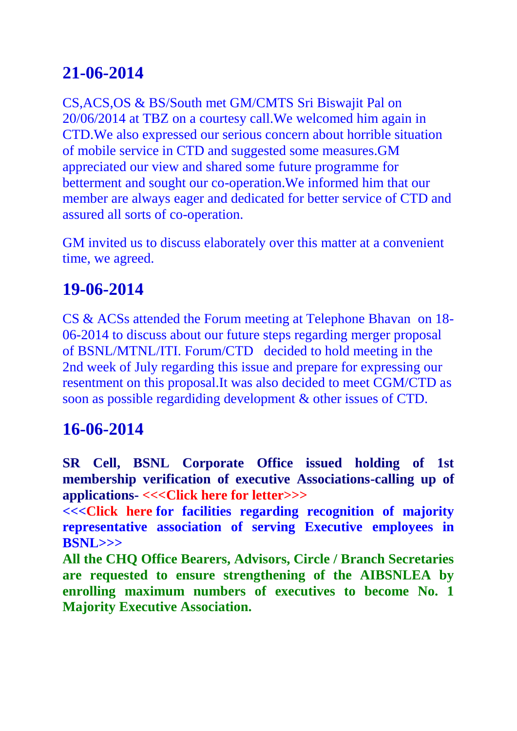CS,ACS,OS & BS/South met GM/CMTS Sri Biswajit Pal on 20/06/2014 at TBZ on a courtesy call.We welcomed him again in CTD.We also expressed our serious concern about horrible situation of mobile service in CTD and suggested some measures.GM appreciated our view and shared some future programme for betterment and sought our co-operation.We informed him that our member are always eager and dedicated for better service of CTD and assured all sorts of co-operation.

GM invited us to discuss elaborately over this matter at a convenient time, we agreed.

## **19-06-2014**

CS & ACSs attended the Forum meeting at Telephone Bhavan on 18- 06-2014 to discuss about our future steps regarding merger proposal of BSNL/MTNL/ITI. Forum/CTD decided to hold meeting in the 2nd week of July regarding this issue and prepare for expressing our resentment on this proposal.It was also decided to meet CGM/CTD as soon as possible regardiding development & other issues of CTD.

## **16-06-2014**

**SR Cell, BSNL Corporate Office issued holding of 1st membership verification of executive Associations-calling up of applications- [<<<Click here for letter>>>](http://aibsnleachq.in/Notice_16.06.2014.pdf)**

**<<<Click here [for facilities regarding recognition of majority](http://aibsnleachq.in/Letter_16.06.2014.pdf)  [representative association of serving Executive](http://aibsnleachq.in/Letter_16.06.2014.pdf) employees in [BSNL>>>](http://aibsnleachq.in/Letter_16.06.2014.pdf)**

**All the CHQ Office Bearers, Advisors, Circle / Branch Secretaries are requested to ensure strengthening of the AIBSNLEA by enrolling maximum numbers of executives to become No. 1 Majority Executive Association.**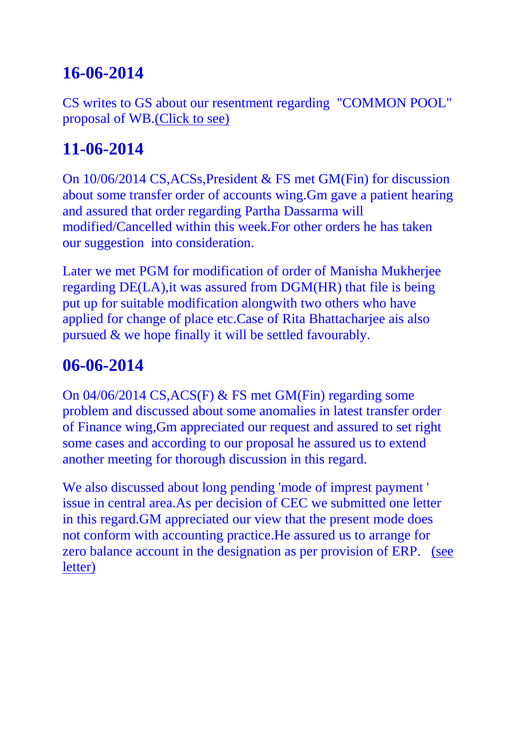CS writes to GS about our resentment regarding "COMMON POOL" proposal of WB[.\(Click to see\)](http://aibsnleawb.org/Prahlad_revised.pdf)

# **11-06-2014**

On 10/06/2014 CS,ACSs,President & FS met GM(Fin) for discussion about some transfer order of accounts wing.Gm gave a patient hearing and assured that order regarding Partha Dassarma will modified/Cancelled within this week.For other orders he has taken our suggestion into consideration.

Later we met PGM for modification of order of Manisha Mukherjee regarding DE(LA),it was assured from DGM(HR) that file is being put up for suitable modification alongwith two others who have applied for change of place etc.Case of Rita Bhattacharjee ais also pursued & we hope finally it will be settled favourably.

# **06-06-2014**

On 04/06/2014 CS,ACS(F) & FS met GM(Fin) regarding some problem and discussed about some anomalies in latest transfer order of Finance wing,Gm appreciated our request and assured to set right some cases and according to our proposal he assured us to extend another meeting for thorough discussion in this regard.

We also discussed about long pending 'mode of imprest payment ' issue in central area.As per decision of CEC we submitted one letter in this regard.GM appreciated our view that the present mode does not conform with accounting practice.He assured us to arrange for zero balance account in the designation as per provision of ERP. [\(see](http://aibsnleawb.org/Imprest_CS_GM(F).docx)  [letter\)](http://aibsnleawb.org/Imprest_CS_GM(F).docx)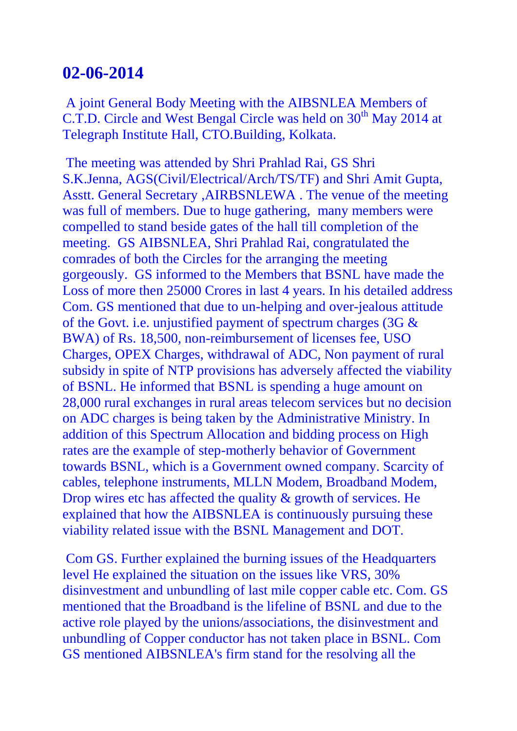A joint General Body Meeting with the AIBSNLEA Members of C.T.D. Circle and West Bengal Circle was held on 30<sup>th</sup> May 2014 at Telegraph Institute Hall, CTO.Building, Kolkata.

The meeting was attended by Shri Prahlad Rai, GS Shri S.K.Jenna, AGS(Civil/Electrical/Arch/TS/TF) and Shri Amit Gupta, Asstt. General Secretary ,AIRBSNLEWA . The venue of the meeting was full of members. Due to huge gathering, many members were compelled to stand beside gates of the hall till completion of the meeting. GS AIBSNLEA, Shri Prahlad Rai, congratulated the comrades of both the Circles for the arranging the meeting gorgeously. GS informed to the Members that BSNL have made the Loss of more then 25000 Crores in last 4 years. In his detailed address Com. GS mentioned that due to un-helping and over-jealous attitude of the Govt. i.e. unjustified payment of spectrum charges (3G & BWA) of Rs. 18,500, non-reimbursement of licenses fee, USO Charges, OPEX Charges, withdrawal of ADC, Non payment of rural subsidy in spite of NTP provisions has adversely affected the viability of BSNL. He informed that BSNL is spending a huge amount on 28,000 rural exchanges in rural areas telecom services but no decision on ADC charges is being taken by the Administrative Ministry. In addition of this Spectrum Allocation and bidding process on High rates are the example of step-motherly behavior of Government towards BSNL, which is a Government owned company. Scarcity of cables, telephone instruments, MLLN Modem, Broadband Modem, Drop wires etc has affected the quality & growth of services. He explained that how the AIBSNLEA is continuously pursuing these viability related issue with the BSNL Management and DOT.

Com GS. Further explained the burning issues of the Headquarters level He explained the situation on the issues like VRS, 30% disinvestment and unbundling of last mile copper cable etc. Com. GS mentioned that the Broadband is the lifeline of BSNL and due to the active role played by the unions/associations, the disinvestment and unbundling of Copper conductor has not taken place in BSNL. Com GS mentioned AIBSNLEA's firm stand for the resolving all the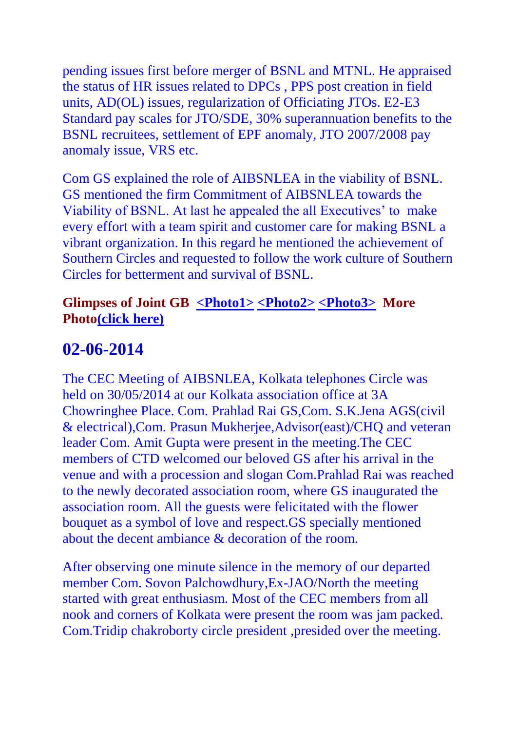pending issues first before merger of BSNL and MTNL. He appraised the status of HR issues related to DPCs , PPS post creation in field units, AD(OL) issues, regularization of Officiating JTOs. E2-E3 Standard pay scales for JTO/SDE, 30% superannuation benefits to the BSNL recruitees, settlement of EPF anomaly, JTO 2007/2008 pay anomaly issue, VRS etc.

Com GS explained the role of AIBSNLEA in the viability of BSNL. GS mentioned the firm Commitment of AIBSNLEA towards the Viability of BSNL. At last he appealed the all Executives' to make every effort with a team spirit and customer care for making BSNL a vibrant organization. In this regard he mentioned the achievement of Southern Circles and requested to follow the work culture of Southern Circles for betterment and survival of BSNL.

#### **Glimpses of Joint GB [<Photo1>](http://www.aibsnleawbtc.org/01.jpg) [<Photo2>](http://www.aibsnleawbtc.org/02.jpg) [<Photo3>](http://www.aibsnleawbtc.org/03.jpg) More Phot[o\(click here\)](http://aibsnleawb.org/GB_300514.docx)**

## **02-06-2014**

The CEC Meeting of AIBSNLEA, Kolkata telephones Circle was held on 30/05/2014 at our Kolkata association office at 3A Chowringhee Place. Com. Prahlad Rai GS,Com. S.K.Jena AGS(civil & electrical),Com. Prasun Mukherjee,Advisor(east)/CHQ and veteran leader Com. Amit Gupta were present in the meeting.The CEC members of CTD welcomed our beloved GS after his arrival in the venue and with a procession and slogan Com.Prahlad Rai was reached to the newly decorated association room, where GS inaugurated the association room. All the guests were felicitated with the flower bouquet as a symbol of love and respect.GS specially mentioned about the decent ambiance & decoration of the room.

After observing one minute silence in the memory of our departed member Com. Sovon Palchowdhury,Ex-JAO/North the meeting started with great enthusiasm. Most of the CEC members from all nook and corners of Kolkata were present the room was jam packed. Com.Tridip chakroborty circle president ,presided over the meeting.